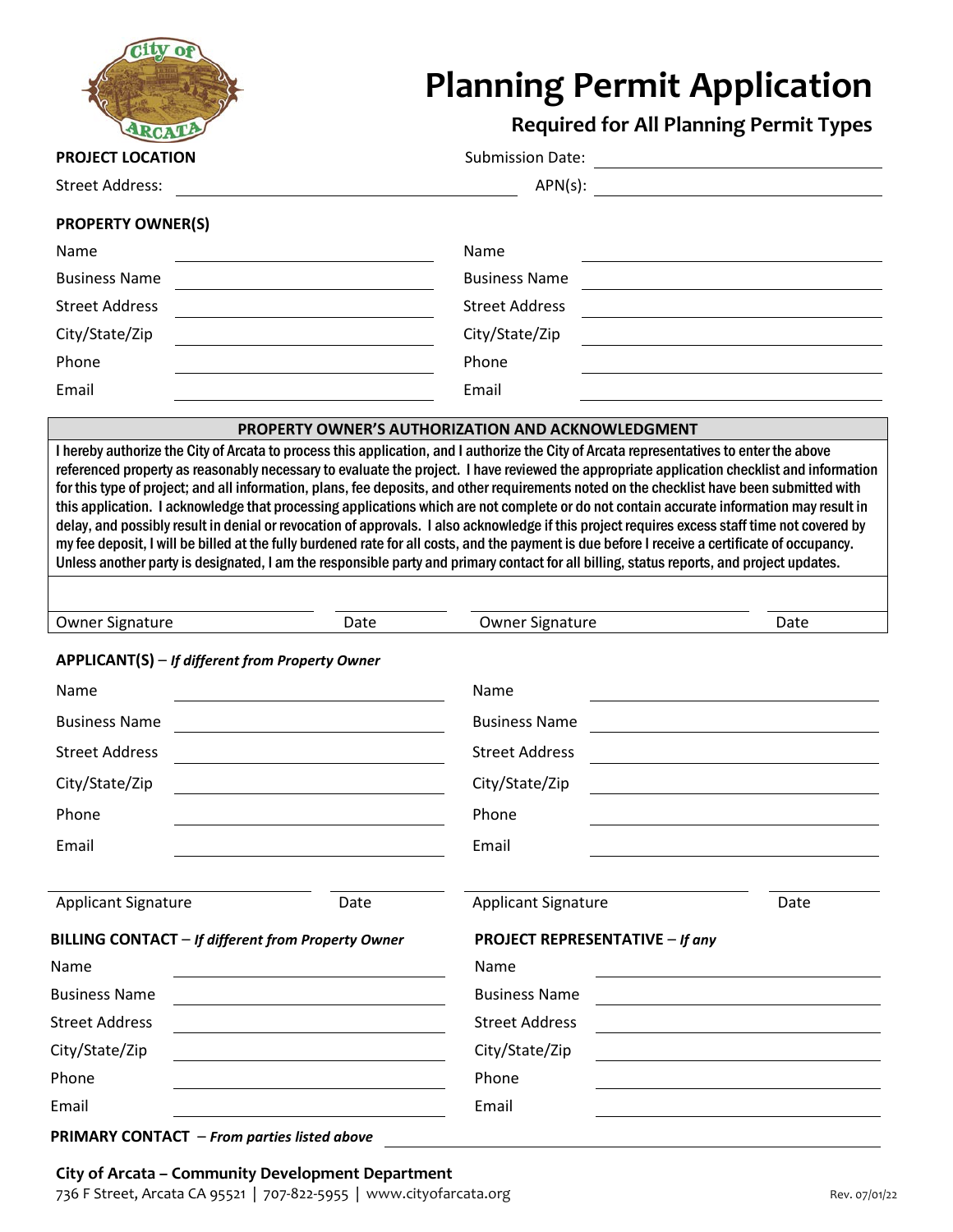

# **Planning Permit Application**

**Required for All Planning Permit Types**

**PRODUCERT LOCATION** Submission Date: Street Address: Apply 2012 19: APN(s): APN(s):

### **PROPERTY OWNER(S)**

| $\cdot$ $\cdot$       |                       |
|-----------------------|-----------------------|
| Name                  | Name                  |
| <b>Business Name</b>  | <b>Business Name</b>  |
| <b>Street Address</b> | <b>Street Address</b> |
| City/State/Zip        | City/State/Zip        |
| Phone                 | Phone                 |
| Email                 | Email                 |

#### **PROPERTY OWNER'S AUTHORIZATION AND ACKNOWLEDGMENT**

I hereby authorize the City of Arcata to process this application, and I authorize the City of Arcata representatives to enter the above referenced property as reasonably necessary to evaluate the project. I have reviewed the appropriate application checklist and information for this type of project; and all information, plans, fee deposits, and other requirements noted on the checklist have been submitted with this application. I acknowledge that processing applications which are not complete or do not contain accurate information may result in delay, and possibly result in denial or revocation of approvals. I also acknowledge if this project requires excess staff time not covered by my fee deposit, I will be billed at the fully burdened rate for all costs, and the payment is due before I receive a certificate of occupancy. Unless another party is designated, I am the responsible party and primary contact for all billing, status reports, and project updates.

| Owner<br><b>Signature</b> | Date | Signature<br>)Wner | ⊃ate<br>. |
|---------------------------|------|--------------------|-----------|
|                           |      |                    |           |

## **APPLICANT(S)** – *If different from Property Owner*

| Name                                               |      | Name                            |      |  |
|----------------------------------------------------|------|---------------------------------|------|--|
| <b>Business Name</b>                               |      | <b>Business Name</b>            |      |  |
| <b>Street Address</b>                              |      | <b>Street Address</b>           |      |  |
| City/State/Zip                                     |      | City/State/Zip                  |      |  |
| Phone                                              |      | Phone                           |      |  |
| Email                                              |      | Email                           |      |  |
|                                                    |      |                                 |      |  |
| <b>Applicant Signature</b>                         | Date | <b>Applicant Signature</b>      | Date |  |
| BILLING CONTACT - If different from Property Owner |      | PROJECT REPRESENTATIVE - If any |      |  |
| Name                                               |      | Name                            |      |  |
| <b>Business Name</b>                               |      | <b>Business Name</b>            |      |  |
| <b>Street Address</b>                              |      | <b>Street Address</b>           |      |  |
|                                                    |      |                                 |      |  |
| City/State/Zip                                     |      | City/State/Zip                  |      |  |
| Phone                                              |      | Phone                           |      |  |
| Email                                              |      | Email                           |      |  |

#### **PRIMARY CONTACT** – *From parties listed above*